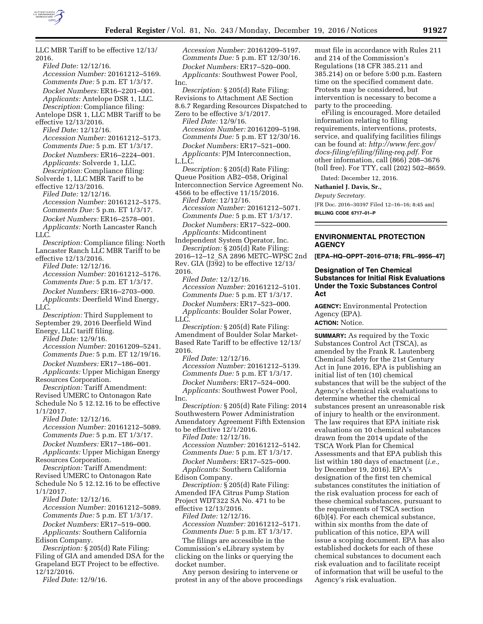

LLC MBR Tariff to be effective 12/13/ 2016. *Filed Date:* 12/12/16. *Accession Number:* 20161212–5169. *Comments Due:* 5 p.m. ET 1/3/17. *Docket Numbers:* ER16–2201–001. *Applicants:* Antelope DSR 1, LLC. *Description:* Compliance filing: Antelope DSR 1, LLC MBR Tariff to be effective 12/13/2016. *Filed Date:* 12/12/16. *Accession Number:* 20161212–5173. *Comments Due:* 5 p.m. ET 1/3/17. *Docket Numbers:* ER16–2224–001. *Applicants:* Solverde 1, LLC. *Description:* Compliance filing: Solverde 1, LLC MBR Tariff to be effective 12/13/2016. *Filed Date:* 12/12/16. *Accession Number:* 20161212–5175. *Comments Due:* 5 p.m. ET 1/3/17. *Docket Numbers:* ER16–2578–001. *Applicants:* North Lancaster Ranch LLC. *Description:* Compliance filing: North Lancaster Ranch LLC MBR Tariff to be effective 12/13/2016. *Filed Date:* 12/12/16. *Accession Number:* 20161212–5176. *Comments Due:* 5 p.m. ET 1/3/17. *Docket Numbers:* ER16–2703–000. *Applicants:* Deerfield Wind Energy, LLC. *Description:* Third Supplement to September 29, 2016 Deerfield Wind Energy, LLC tariff filing. *Filed Date:* 12/9/16. *Accession Number:* 20161209–5241. *Comments Due:* 5 p.m. ET 12/19/16. *Docket Numbers:* ER17–186–001. *Applicants:* Upper Michigan Energy Resources Corporation. *Description:* Tariff Amendment: Revised UMERC to Ontonagon Rate Schedule No 5 12.12.16 to be effective 1/1/2017. *Filed Date:* 12/12/16. *Accession Number:* 20161212–5089. *Comments Due:* 5 p.m. ET 1/3/17. *Docket Numbers:* ER17–186–001. *Applicants:* Upper Michigan Energy Resources Corporation. *Description:* Tariff Amendment: Revised UMERC to Ontonagon Rate Schedule No 5 12.12.16 to be effective 1/1/2017. *Filed Date:* 12/12/16. *Accession Number:* 20161212–5089. *Comments Due:* 5 p.m. ET 1/3/17. *Docket Numbers:* ER17–519–000. *Applicants:* Southern California Edison Company. *Description:* § 205(d) Rate Filing: Filing of GIA and amended DSA for the Grapeland EGT Project to be effective. 12/12/2016.

*Filed Date:* 12/9/16.

*Accession Number:* 20161209–5197. *Comments Due:* 5 p.m. ET 12/30/16. *Docket Numbers:* ER17–520–000. *Applicants:* Southwest Power Pool, Inc.

*Description:* § 205(d) Rate Filing: Revisions to Attachment AE Section 8.6.7 Regarding Resources Dispatched to Zero to be effective 3/1/2017.

*Filed Date:* 12/9/16. *Accession Number:* 20161209–5198. *Comments Due:* 5 p.m. ET 12/30/16. *Docket Numbers:* ER17–521–000. *Applicants:* PJM Interconnection, L.L.C.

*Description:* § 205(d) Rate Filing: Queue Position AB2–058, Original Interconnection Service Agreement No. 4566 to be effective 11/15/2016.

*Filed Date:* 12/12/16. *Accession Number:* 20161212–5071. *Comments Due:* 5 p.m. ET 1/3/17. *Docket Numbers:* ER17–522–000. *Applicants:* Midcontinent

Independent System Operator, Inc. *Description:* § 205(d) Rate Filing:

2016–12–12\_SA 2896 METC–WPSC 2nd Rev. GIA (J392) to be effective 12/13/ 2016.

*Filed Date:* 12/12/16. *Accession Number:* 20161212–5101. *Comments Due:* 5 p.m. ET 1/3/17. *Docket Numbers:* ER17–523–000. *Applicants:* Boulder Solar Power, LLC.

*Description:* § 205(d) Rate Filing: Amendment of Boulder Solar Market-Based Rate Tariff to be effective 12/13/ 2016.

*Filed Date:* 12/12/16. *Accession Number:* 20161212–5139. *Comments Due:* 5 p.m. ET 1/3/17. *Docket Numbers:* ER17–524–000. *Applicants:* Southwest Power Pool, Inc.

*Description:* § 205(d) Rate Filing: 2014 Southwestern Power Administration Amendatory Agreement Fifth Extension to be effective 12/1/2016.

*Filed Date:* 12/12/16.

*Accession Number:* 20161212–5142. *Comments Due:* 5 p.m. ET 1/3/17.

*Docket Numbers:* ER17–525–000. *Applicants:* Southern California

Edison Company.

*Description:* § 205(d) Rate Filing: Amended IFA Citrus Pump Station Project WDT322 SA No. 471 to be effective 12/13/2016.

*Filed Date:* 12/12/16. *Accession Number:* 20161212–5171. *Comments Due:* 5 p.m. ET 1/3/17.

The filings are accessible in the Commission's eLibrary system by clicking on the links or querying the docket number.

Any person desiring to intervene or protest in any of the above proceedings must file in accordance with Rules 211 and 214 of the Commission's Regulations (18 CFR 385.211 and 385.214) on or before 5:00 p.m. Eastern time on the specified comment date. Protests may be considered, but intervention is necessary to become a party to the proceeding.

eFiling is encouraged. More detailed information relating to filing requirements, interventions, protests, service, and qualifying facilities filings can be found at: *[http://www.ferc.gov/](http://www.ferc.gov/docs-filing/efiling/filing-req.pdf)  [docs-filing/efiling/filing-req.pdf.](http://www.ferc.gov/docs-filing/efiling/filing-req.pdf)* For other information, call (866) 208–3676 (toll free). For TTY, call (202) 502–8659.

Dated: December 12, 2016.

#### **Nathaniel J. Davis, Sr.,**

*Deputy Secretary.*  [FR Doc. 2016–30397 Filed 12–16–16; 8:45 am] **BILLING CODE 6717–01–P** 

**ENVIRONMENTAL PROTECTION AGENCY** 

**[EPA–HQ–OPPT–2016–0718; FRL–9956–47]** 

### **Designation of Ten Chemical Substances for Initial Risk Evaluations Under the Toxic Substances Control Act**

**AGENCY:** Environmental Protection Agency (EPA). **ACTION:** Notice.

**SUMMARY:** As required by the Toxic Substances Control Act (TSCA), as amended by the Frank R. Lautenberg Chemical Safety for the 21st Century Act in June 2016, EPA is publishing an initial list of ten (10) chemical substances that will be the subject of the Agency's chemical risk evaluations to determine whether the chemical substances present an unreasonable risk of injury to health or the environment. The law requires that EPA initiate risk evaluations on 10 chemical substances drawn from the 2014 update of the TSCA Work Plan for Chemical Assessments and that EPA publish this list within 180 days of enactment (*i.e.,*  by December 19, 2016). EPA's designation of the first ten chemical substances constitutes the initiation of the risk evaluation process for each of these chemical substances, pursuant to the requirements of TSCA section 6(b)(4). For each chemical substance, within six months from the date of publication of this notice, EPA will issue a scoping document. EPA has also established dockets for each of these chemical substances to document each risk evaluation and to facilitate receipt of information that will be useful to the Agency's risk evaluation.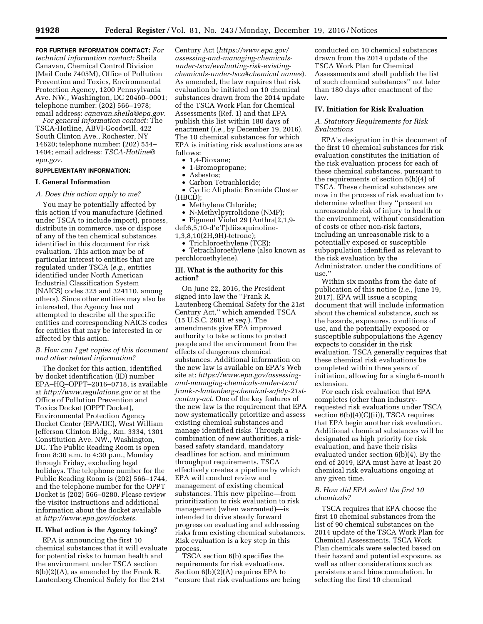**FOR FURTHER INFORMATION CONTACT:** *For technical information contact:* Sheila Canavan, Chemical Control Division (Mail Code 7405M), Office of Pollution Prevention and Toxics, Environmental Protection Agency, 1200 Pennsylvania Ave. NW., Washington, DC 20460–0001; telephone number: (202) 566–1978; email address: *[canavan.sheila@epa.gov.](mailto:canavan.sheila@epa.gov)* 

*For general information contact:* The TSCA-Hotline, ABVI-Goodwill, 422 South Clinton Ave., Rochester, NY 14620; telephone number: (202) 554– 1404; email address: *[TSCA-Hotline@](mailto:TSCA-Hotline@epa.gov) [epa.gov.](mailto:TSCA-Hotline@epa.gov)* 

#### **SUPPLEMENTARY INFORMATION:**

#### **I. General Information**

*A. Does this action apply to me?* 

You may be potentially affected by this action if you manufacture (defined under TSCA to include import), process, distribute in commerce, use or dispose of any of the ten chemical substances identified in this document for risk evaluation. This action may be of particular interest to entities that are regulated under TSCA (*e.g.,* entities identified under North American Industrial Classification System (NAICS) codes 325 and 324110, among others). Since other entities may also be interested, the Agency has not attempted to describe all the specific entities and corresponding NAICS codes for entities that may be interested in or affected by this action.

### *B. How can I get copies of this document and other related information?*

The docket for this action, identified by docket identification (ID) number EPA–HQ–OPPT–2016–0718, is available at *<http://www.regulations.gov>* or at the Office of Pollution Prevention and Toxics Docket (OPPT Docket), Environmental Protection Agency Docket Center (EPA/DC), West William Jefferson Clinton Bldg., Rm. 3334, 1301 Constitution Ave. NW., Washington, DC. The Public Reading Room is open from 8:30 a.m. to 4:30 p.m., Monday through Friday, excluding legal holidays. The telephone number for the Public Reading Room is (202) 566–1744, and the telephone number for the OPPT Docket is (202) 566–0280. Please review the visitor instructions and additional information about the docket available at *[http://www.epa.gov/dockets.](http://www.epa.gov/dockets)* 

### **II. What action is the Agency taking?**

EPA is announcing the first 10 chemical substances that it will evaluate for potential risks to human health and the environment under TSCA section  $6(b)(2)(A)$ , as amended by the Frank R. Lautenberg Chemical Safety for the 21st

Century Act (*[https://www.epa.gov/](https://www.epa.gov/assessing-and-managing-chemicals-under-tsca/evaluating-risk-existing-chemicals-under-tsca#chemical names)  [assessing-and-managing-chemicals](https://www.epa.gov/assessing-and-managing-chemicals-under-tsca/evaluating-risk-existing-chemicals-under-tsca#chemical names)[under-tsca/evaluating-risk-existing](https://www.epa.gov/assessing-and-managing-chemicals-under-tsca/evaluating-risk-existing-chemicals-under-tsca#chemical names)[chemicals-under-tsca#chemical names](https://www.epa.gov/assessing-and-managing-chemicals-under-tsca/evaluating-risk-existing-chemicals-under-tsca#chemical names)*). As amended, the law requires that risk evaluation be initiated on 10 chemical substances drawn from the 2014 update of the TSCA Work Plan for Chemical Assessments (Ref. 1) and that EPA publish this list within 180 days of enactment (*i.e.,* by December 19, 2016). The 10 chemical substances for which EPA is initiating risk evaluations are as follows:

- 1,4-Dioxane;
- 1-Bromopropane;
- Asbestos;
- Carbon Tetrachloride; • Cyclic Aliphatic Bromide Cluster
- (HBCD);
	- Methylene Chloride;
- N-Methylpyrrolidone (NMP);<br>• Pigment Violet 29 (Anthral2.

• Pigment Violet 29 (Anthra[2,1,9 def:6,5,10-d'e'f']diisoquinoline-

1,3,8,10(2H,9H)-tetrone);

• Trichloroethylene (TCE);

• Tetrachloroethylene (also known as perchloroethylene).

#### **III. What is the authority for this action?**

On June 22, 2016, the President signed into law the ''Frank R. Lautenberg Chemical Safety for the 21st Century Act,'' which amended TSCA (15 U.S.C. 2601 *et seq.*). The amendments give EPA improved authority to take actions to protect people and the environment from the effects of dangerous chemical substances. Additional information on the new law is available on EPA's Web site at: *[https://www.epa.gov/assessing](https://www.epa.gov/assessing-and-managing-chemicals-under-tsca/frank-r-lautenberg-chemical-safety-21st-century-act)[and-managing-chemicals-under-tsca/](https://www.epa.gov/assessing-and-managing-chemicals-under-tsca/frank-r-lautenberg-chemical-safety-21st-century-act)  [frank-r-lautenberg-chemical-safety-21st](https://www.epa.gov/assessing-and-managing-chemicals-under-tsca/frank-r-lautenberg-chemical-safety-21st-century-act)[century-act](https://www.epa.gov/assessing-and-managing-chemicals-under-tsca/frank-r-lautenberg-chemical-safety-21st-century-act)*. One of the key features of the new law is the requirement that EPA now systematically prioritize and assess existing chemical substances and manage identified risks. Through a combination of new authorities, a riskbased safety standard, mandatory deadlines for action, and minimum throughput requirements, TSCA effectively creates a pipeline by which EPA will conduct review and management of existing chemical substances. This new pipeline—from prioritization to risk evaluation to risk management (when warranted)—is intended to drive steady forward progress on evaluating and addressing risks from existing chemical substances. Risk evaluation is a key step in this process.

TSCA section 6(b) specifies the requirements for risk evaluations. Section 6(b)(2)(A) requires EPA to ''ensure that risk evaluations are being conducted on 10 chemical substances drawn from the 2014 update of the TSCA Work Plan for Chemical Assessments and shall publish the list of such chemical substances'' not later than 180 days after enactment of the law.

### **IV. Initiation for Risk Evaluation**

## *A. Statutory Requirements for Risk Evaluations*

EPA's designation in this document of the first 10 chemical substances for risk evaluation constitutes the initiation of the risk evaluation process for each of these chemical substances, pursuant to the requirements of section 6(b)(4) of TSCA. These chemical substances are now in the process of risk evaluation to determine whether they ''present an unreasonable risk of injury to health or the environment, without consideration of costs or other non-risk factors, including an unreasonable risk to a potentially exposed or susceptible subpopulation identified as relevant to the risk evaluation by the Administrator, under the conditions of use.''

Within six months from the date of publication of this notice (*i.e.*, June 19, 2017), EPA will issue a scoping document that will include information about the chemical substance, such as the hazards, exposures, conditions of use, and the potentially exposed or susceptible subpopulations the Agency expects to consider in the risk evaluation. TSCA generally requires that these chemical risk evaluations be completed within three years of initiation, allowing for a single 6-month extension.

For each risk evaluation that EPA completes (other than industryrequested risk evaluations under TSCA section 6(b)(4)(C)(ii)), TSCA requires that EPA begin another risk evaluation. Additional chemical substances will be designated as high priority for risk evaluation, and have their risks evaluated under section 6(b)(4). By the end of 2019, EPA must have at least 20 chemical risk evaluations ongoing at any given time.

# *B. How did EPA select the first 10 chemicals?*

TSCA requires that EPA choose the first 10 chemical substances from the list of 90 chemical substances on the 2014 update of the TSCA Work Plan for Chemical Assessments. TSCA Work Plan chemicals were selected based on their hazard and potential exposure, as well as other considerations such as persistence and bioaccumulation. In selecting the first 10 chemical